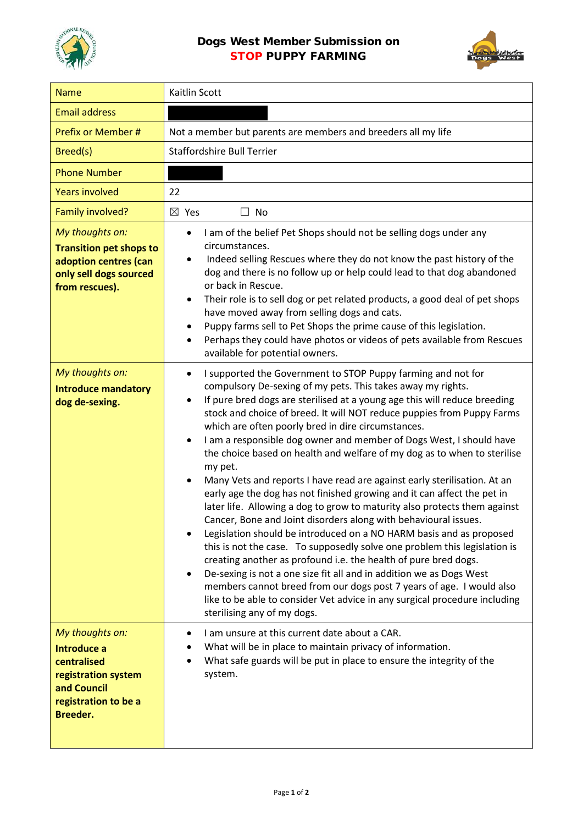



| <b>Name</b>                                                                                                             | Kaitlin Scott                                                                                                                                                                                                                                                                                                                                                                                                                                                                                                                                                                                                                                                                                                                                                                                                                                                                                                                                                                                                                                                                                                                                                                                                                                                                                                                                                          |
|-------------------------------------------------------------------------------------------------------------------------|------------------------------------------------------------------------------------------------------------------------------------------------------------------------------------------------------------------------------------------------------------------------------------------------------------------------------------------------------------------------------------------------------------------------------------------------------------------------------------------------------------------------------------------------------------------------------------------------------------------------------------------------------------------------------------------------------------------------------------------------------------------------------------------------------------------------------------------------------------------------------------------------------------------------------------------------------------------------------------------------------------------------------------------------------------------------------------------------------------------------------------------------------------------------------------------------------------------------------------------------------------------------------------------------------------------------------------------------------------------------|
| <b>Email address</b>                                                                                                    |                                                                                                                                                                                                                                                                                                                                                                                                                                                                                                                                                                                                                                                                                                                                                                                                                                                                                                                                                                                                                                                                                                                                                                                                                                                                                                                                                                        |
| Prefix or Member #                                                                                                      | Not a member but parents are members and breeders all my life                                                                                                                                                                                                                                                                                                                                                                                                                                                                                                                                                                                                                                                                                                                                                                                                                                                                                                                                                                                                                                                                                                                                                                                                                                                                                                          |
| Breed(s)                                                                                                                | <b>Staffordshire Bull Terrier</b>                                                                                                                                                                                                                                                                                                                                                                                                                                                                                                                                                                                                                                                                                                                                                                                                                                                                                                                                                                                                                                                                                                                                                                                                                                                                                                                                      |
| <b>Phone Number</b>                                                                                                     |                                                                                                                                                                                                                                                                                                                                                                                                                                                                                                                                                                                                                                                                                                                                                                                                                                                                                                                                                                                                                                                                                                                                                                                                                                                                                                                                                                        |
| <b>Years involved</b>                                                                                                   | 22                                                                                                                                                                                                                                                                                                                                                                                                                                                                                                                                                                                                                                                                                                                                                                                                                                                                                                                                                                                                                                                                                                                                                                                                                                                                                                                                                                     |
| Family involved?                                                                                                        | $\boxtimes$ Yes<br>$\Box$ No                                                                                                                                                                                                                                                                                                                                                                                                                                                                                                                                                                                                                                                                                                                                                                                                                                                                                                                                                                                                                                                                                                                                                                                                                                                                                                                                           |
| My thoughts on:<br><b>Transition pet shops to</b><br>adoption centres (can<br>only sell dogs sourced<br>from rescues).  | I am of the belief Pet Shops should not be selling dogs under any<br>٠<br>circumstances.<br>Indeed selling Rescues where they do not know the past history of the<br>dog and there is no follow up or help could lead to that dog abandoned<br>or back in Rescue.<br>Their role is to sell dog or pet related products, a good deal of pet shops<br>٠<br>have moved away from selling dogs and cats.<br>Puppy farms sell to Pet Shops the prime cause of this legislation.<br>٠<br>Perhaps they could have photos or videos of pets available from Rescues<br>$\bullet$<br>available for potential owners.                                                                                                                                                                                                                                                                                                                                                                                                                                                                                                                                                                                                                                                                                                                                                             |
| My thoughts on:<br><b>Introduce mandatory</b><br>dog de-sexing.                                                         | I supported the Government to STOP Puppy farming and not for<br>$\bullet$<br>compulsory De-sexing of my pets. This takes away my rights.<br>If pure bred dogs are sterilised at a young age this will reduce breeding<br>$\bullet$<br>stock and choice of breed. It will NOT reduce puppies from Puppy Farms<br>which are often poorly bred in dire circumstances.<br>I am a responsible dog owner and member of Dogs West, I should have<br>$\bullet$<br>the choice based on health and welfare of my dog as to when to sterilise<br>my pet.<br>Many Vets and reports I have read are against early sterilisation. At an<br>$\bullet$<br>early age the dog has not finished growing and it can affect the pet in<br>later life. Allowing a dog to grow to maturity also protects them against<br>Cancer, Bone and Joint disorders along with behavioural issues.<br>Legislation should be introduced on a NO HARM basis and as proposed<br>٠<br>this is not the case. To supposedly solve one problem this legislation is<br>creating another as profound i.e. the health of pure bred dogs.<br>De-sexing is not a one size fit all and in addition we as Dogs West<br>$\bullet$<br>members cannot breed from our dogs post 7 years of age. I would also<br>like to be able to consider Vet advice in any surgical procedure including<br>sterilising any of my dogs. |
| My thoughts on:<br>Introduce a<br>centralised<br>registration system<br>and Council<br>registration to be a<br>Breeder. | I am unsure at this current date about a CAR.<br>$\bullet$<br>What will be in place to maintain privacy of information.<br>What safe guards will be put in place to ensure the integrity of the<br>system.                                                                                                                                                                                                                                                                                                                                                                                                                                                                                                                                                                                                                                                                                                                                                                                                                                                                                                                                                                                                                                                                                                                                                             |